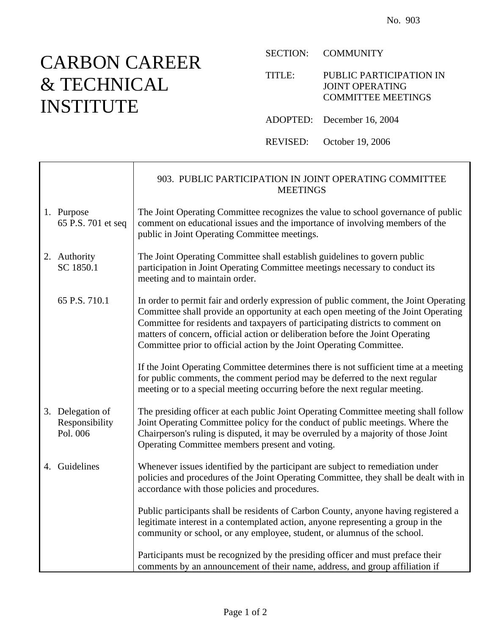## CARBON CAREER & TECHNICAL INSTITUTE

 $\Gamma$ 

SECTION: COMMUNITY

TITLE: PUBLIC PARTICIPATION IN JOINT OPERATING COMMITTEE MEETINGS

ADOPTED: December 16, 2004

REVISED: October 19, 2006

|                                                | 903. PUBLIC PARTICIPATION IN JOINT OPERATING COMMITTEE<br><b>MEETINGS</b>                                                                                                                                                                                                                                                                                                                                               |
|------------------------------------------------|-------------------------------------------------------------------------------------------------------------------------------------------------------------------------------------------------------------------------------------------------------------------------------------------------------------------------------------------------------------------------------------------------------------------------|
| 1. Purpose<br>65 P.S. 701 et seq               | The Joint Operating Committee recognizes the value to school governance of public<br>comment on educational issues and the importance of involving members of the<br>public in Joint Operating Committee meetings.                                                                                                                                                                                                      |
| 2. Authority<br>SC 1850.1                      | The Joint Operating Committee shall establish guidelines to govern public<br>participation in Joint Operating Committee meetings necessary to conduct its<br>meeting and to maintain order.                                                                                                                                                                                                                             |
| 65 P.S. 710.1                                  | In order to permit fair and orderly expression of public comment, the Joint Operating<br>Committee shall provide an opportunity at each open meeting of the Joint Operating<br>Committee for residents and taxpayers of participating districts to comment on<br>matters of concern, official action or deliberation before the Joint Operating<br>Committee prior to official action by the Joint Operating Committee. |
|                                                | If the Joint Operating Committee determines there is not sufficient time at a meeting<br>for public comments, the comment period may be deferred to the next regular<br>meeting or to a special meeting occurring before the next regular meeting.                                                                                                                                                                      |
| 3. Delegation of<br>Responsibility<br>Pol. 006 | The presiding officer at each public Joint Operating Committee meeting shall follow<br>Joint Operating Committee policy for the conduct of public meetings. Where the<br>Chairperson's ruling is disputed, it may be overruled by a majority of those Joint<br>Operating Committee members present and voting.                                                                                                          |
| 4. Guidelines                                  | Whenever issues identified by the participant are subject to remediation under<br>policies and procedures of the Joint Operating Committee, they shall be dealt with in<br>accordance with those policies and procedures.                                                                                                                                                                                               |
|                                                | Public participants shall be residents of Carbon County, anyone having registered a<br>legitimate interest in a contemplated action, anyone representing a group in the<br>community or school, or any employee, student, or alumnus of the school.                                                                                                                                                                     |
|                                                | Participants must be recognized by the presiding officer and must preface their<br>comments by an announcement of their name, address, and group affiliation if                                                                                                                                                                                                                                                         |